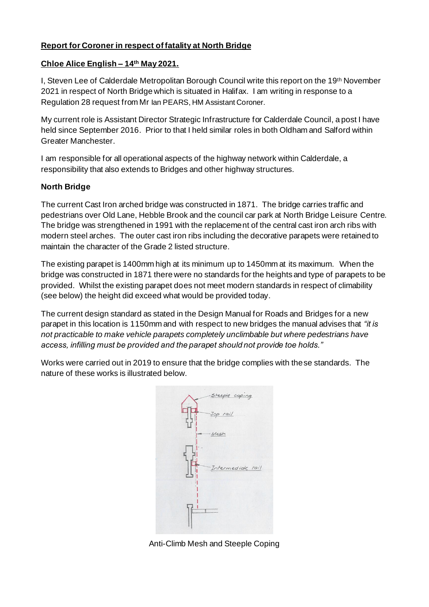## **Report for Coroner in respect of fatality at North Bridge**

## **Chloe Alice English – 14th May 2021.**

I, Steven Lee of Calderdale Metropolitan Borough Council write this report on the 19th November 2021 in respect of North Bridge which is situated in Halifax. I am writing in response to a Regulation 28 request from Mr Ian PEARS, HM Assistant Coroner.

My current role is Assistant Director Strategic Infrastructure for Calderdale Council, a post I have held since September 2016. Prior to that I held similar roles in both Oldham and Salford within Greater Manchester.

I am responsible for all operational aspects of the highway network within Calderdale, a responsibility that also extends to Bridges and other highway structures.

## **North Bridge**

The current Cast Iron arched bridge was constructed in 1871. The bridge carries traffic and pedestrians over Old Lane, Hebble Brook and the council car park at North Bridge Leisure Centre. The bridge was strengthened in 1991 with the replacement of the central cast iron arch ribs with modern steel arches. The outer cast iron ribs including the decorative parapets were retained to maintain the character of the Grade 2 listed structure.

The existing parapet is 1400mm high at its minimum up to 1450mm at its maximum. When the bridge was constructed in 1871 there were no standards for the heights and type of parapets to be provided. Whilst the existing parapet does not meet modern standards in respect of climability (see below) the height did exceed what would be provided today.

The current design standard as stated in the Design Manual for Roads and Bridges for a new parapet in this location is 1150mm and with respect to new bridges the manual advises that *"it is not practicable to make vehicle parapets completely unclimbable but where pedestrians have access, infilling must be provided and the parapet should not provide toe holds."*

Works were carried out in 2019 to ensure that the bridge complies with these standards. The nature of these works is illustrated below.



Anti-Climb Mesh and Steeple Coping